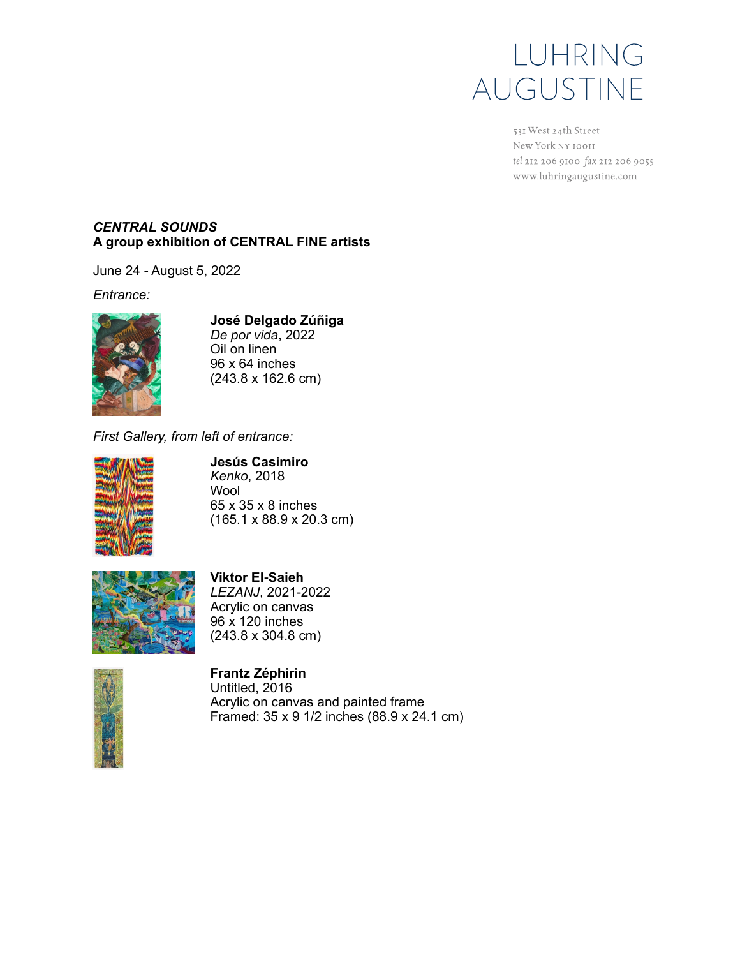

531 West 24th Street New York NY 10011 tel 212 206 9100 fax 212 206 9055 www.luhringaugustine.com

## *CENTRAL SOUNDS* **A group exhibition of CENTRAL FINE artists**

June 24 - August 5, 2022

*Entrance:*



**José Delgado Zúñiga** *De por vida*, 2022

Oil on linen 96 x 64 inches (243.8 x 162.6 cm)

*First Gallery, from left of entrance:*



**Jesús Casimiro** *Kenko*, 2018 Wool 65 x 35 x 8 inches

(165.1 x 88.9 x 20.3 cm)



**Viktor El-Saieh** *LEZANJ*, 2021-2022 Acrylic on canvas 96 x 120 inches (243.8 x 304.8 cm)



**Frantz Zéphirin** Untitled, 2016 Acrylic on canvas and painted frame Framed: 35 x 9 1/2 inches (88.9 x 24.1 cm)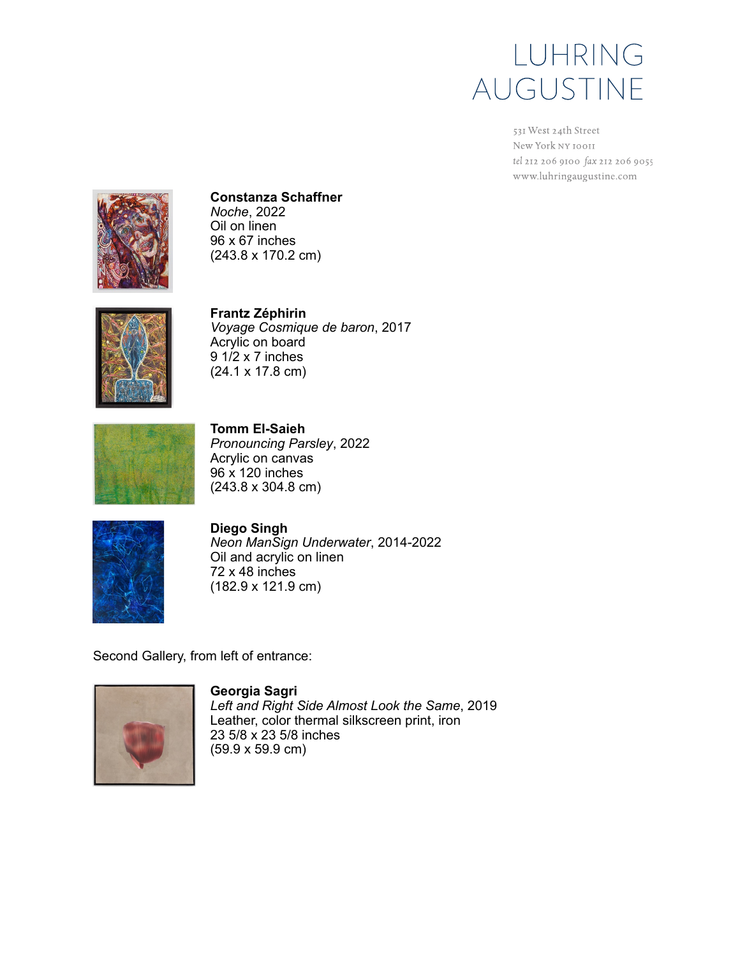

531 West 24th Street New York NY 10011 tel 212 206 9100 fax 212 206 9055 www.luhringaugustine.com



**Constanza Schaffner** *Noche*, 2022

Oil on linen 96 x 67 inches (243.8 x 170.2 cm)



**Frantz Zéphirin** *Voyage Cosmique de baron*, 2017 Acrylic on board 9 1/2 x 7 inches (24.1 x 17.8 cm)



**Tomm El-Saieh** *Pronouncing Parsley*, 2022 Acrylic on canvas 96 x 120 inches (243.8 x 304.8 cm)



**Diego Singh** *Neon ManSign Underwater*, 2014-2022 Oil and acrylic on linen 72 x 48 inches (182.9 x 121.9 cm)

Second Gallery, from left of entrance:



**Georgia Sagri** *Left and Right Side Almost Look the Same*, 2019 Leather, color thermal silkscreen print, iron 23 5/8 x 23 5/8 inches (59.9 x 59.9 cm)